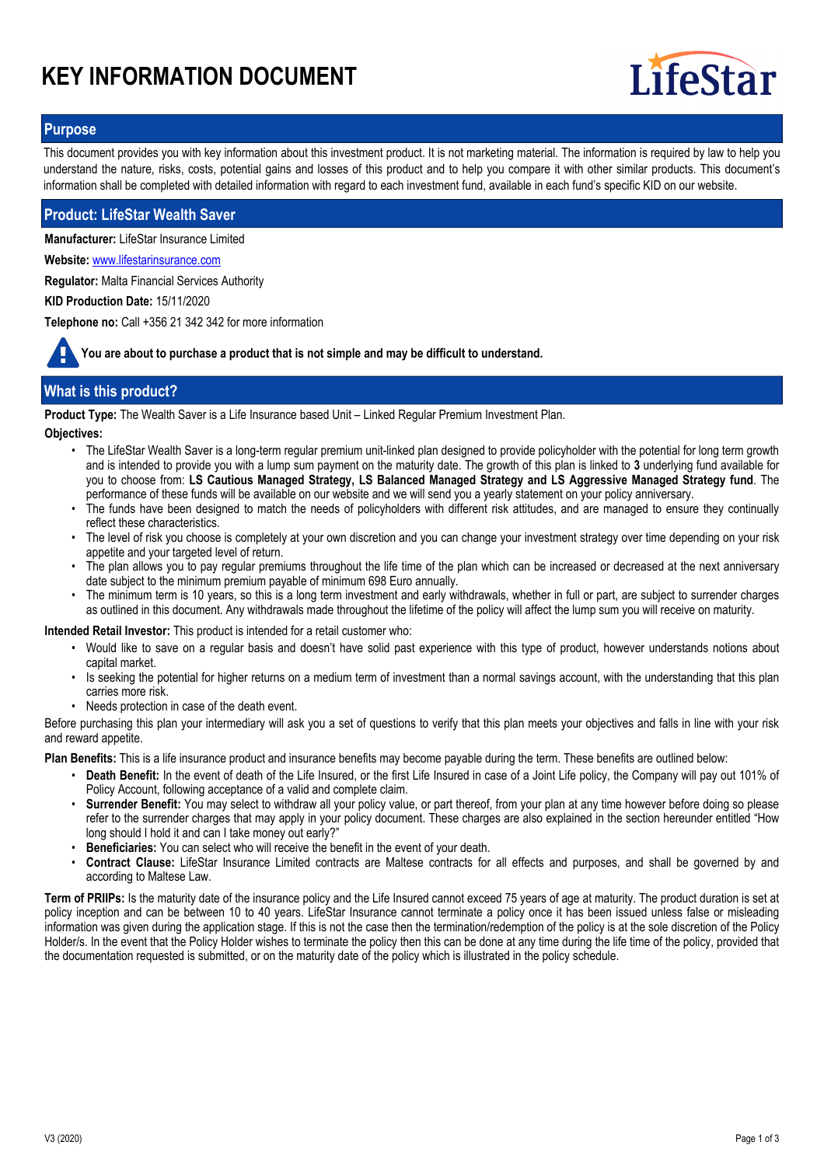# **KEY INFORMATION DOCUMENT**



# **Purpose**

This document provides you with key information about this investment product. It is not marketing material. The information is required by law to help you understand the nature, risks, costs, potential gains and losses of this product and to help you compare it with other similar products. This document's information shall be completed with detailed information with regard to each investment fund, available in each fund's specific KID on our website.

## **Product: LifeStar Wealth Saver**

**Manufacturer:** LifeStar Insurance Limited

**Website:** www.lifestarinsurance.com

**Regulator:** Malta Financial Services Authority

**KID Production Date:** 15/11/2020

**Telephone no:** Call +356 21 342 342 for more information

**You are about to purchase a product that is not simple and may be difficult to understand.**

# **What is this product?**

**Product Type:** The Wealth Saver is a Life Insurance based Unit – Linked Regular Premium Investment Plan.

**Objectives:**

- The LifeStar Wealth Saver is a long-term regular premium unit-linked plan designed to provide policyholder with the potential for long term growth and is intended to provide you with a lump sum payment on the maturity date. The growth of this plan is linked to **3** underlying fund available for you to choose from: **LS Cautious Managed Strategy, LS Balanced Managed Strategy and LS Aggressive Managed Strategy fund**. The performance of these funds will be available on our website and we will send you a yearly statement on your policy anniversary.
- The funds have been designed to match the needs of policyholders with different risk attitudes, and are managed to ensure they continually reflect these characteristics.
- The level of risk you choose is completely at your own discretion and you can change your investment strategy over time depending on your risk appetite and your targeted level of return. •
- The plan allows you to pay regular premiums throughout the life time of the plan which can be increased or decreased at the next anniversary date subject to the minimum premium payable of minimum 698 Euro annually. •
- The minimum term is 10 years, so this is a long term investment and early withdrawals, whether in full or part, are subject to surrender charges as outlined in this document. Any withdrawals made throughout the lifetime of the policy will affect the lump sum you will receive on maturity. •

**Intended Retail Investor:** This product is intended for a retail customer who:

- Would like to save on a regular basis and doesn't have solid past experience with this type of product, however understands notions about capital market.
- Is seeking the potential for higher returns on a medium term of investment than a normal savings account, with the understanding that this plan carries more risk.
- Needs protection in case of the death event.

Before purchasing this plan your intermediary will ask you a set of questions to verify that this plan meets your objectives and falls in line with your risk and reward appetite.

**Plan Benefits:** This is a life insurance product and insurance benefits may become payable during the term. These benefits are outlined below:

- **Death Benefit:** In the event of death of the Life Insured, or the first Life Insured in case of a Joint Life policy, the Company will pay out 101% of Policy Account, following acceptance of a valid and complete claim. •
- **Surrender Benefit:** You may select to withdraw all your policy value, or part thereof, from your plan at any time however before doing so please refer to the surrender charges that may apply in your policy document. These charges are also explained in the section hereunder entitled "How long should I hold it and can I take money out early?" •
- **Beneficiaries:** You can select who will receive the benefit in the event of your death.
- **Contract Clause:** LifeStar Insurance Limited contracts are Maltese contracts for all effects and purposes, and shall be governed by and according to Maltese Law. •

**Term of PRIIPs:** Is the maturity date of the insurance policy and the Life Insured cannot exceed 75 years of age at maturity. The product duration is set at policy inception and can be between 10 to 40 years. LifeStar Insurance cannot terminate a policy once it has been issued unless false or misleading information was given during the application stage. If this is not the case then the termination/redemption of the policy is at the sole discretion of the Policy Holder/s. In the event that the Policy Holder wishes to terminate the policy then this can be done at any time during the life time of the policy, provided that the documentation requested is submitted, or on the maturity date of the policy which is illustrated in the policy schedule.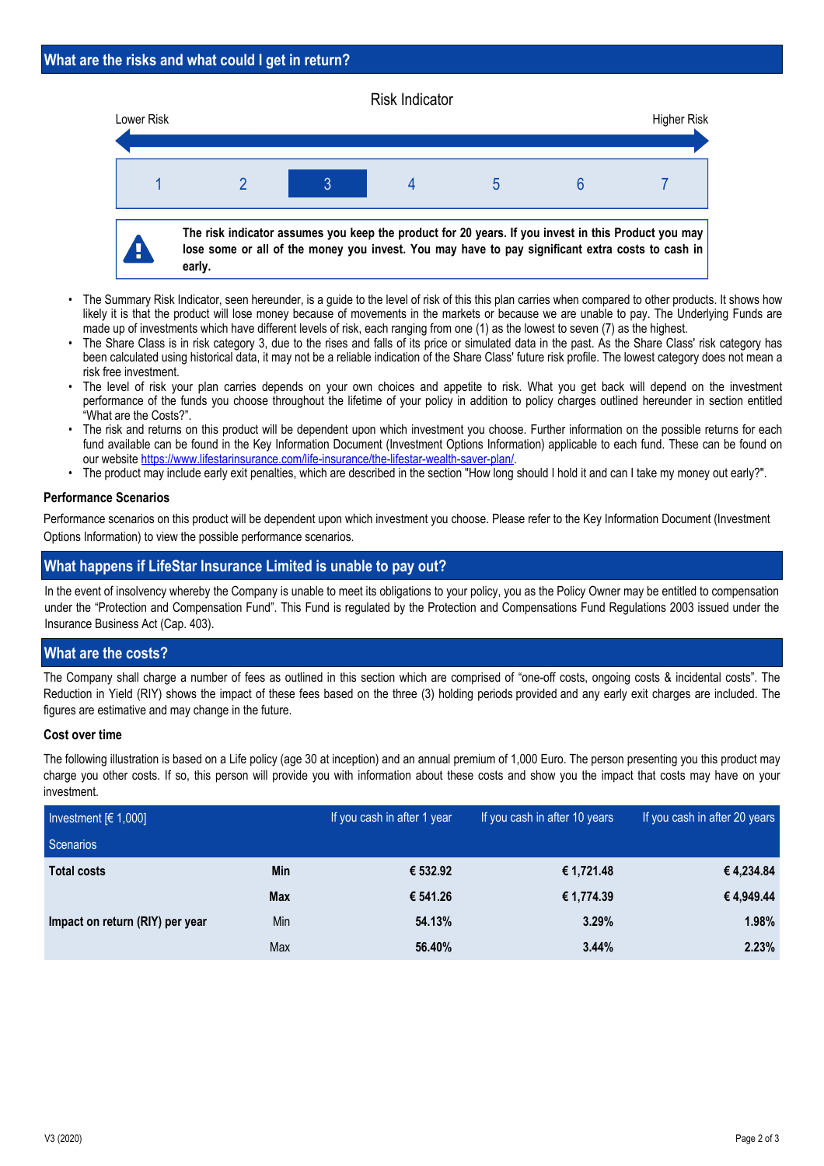#### Risk Indicator



- The Summary Risk Indicator, seen hereunder, is a guide to the level of risk of this this plan carries when compared to other products. It shows how likely it is that the product will lose money because of movements in the markets or because we are unable to pay. The Underlying Funds are made up of investments which have different levels of risk, each ranging from one (1) as the lowest to seven (7) as the highest. •
- The Share Class is in risk category 3, due to the rises and falls of its price or simulated data in the past. As the Share Class' risk category has been calculated using historical data, it may not be a reliable indication of the Share Class' future risk profile. The lowest category does not mean a risk free investment. •
- The level of risk your plan carries depends on your own choices and appetite to risk. What you get back will depend on the investment performance of the funds you choose throughout the lifetime of your policy in addition to policy charges outlined hereunder in section entitled "What are the Costs?". •
- The risk and returns on this product will be dependent upon which investment you choose. Further information on the possible returns for each fund available can be found in the Key Information Document (Investment Options Information) applicable to each fund. These can be found on our website https://www.lifestarinsurance.com/life-insurance/the-lifestar-wealth-saver-plan/. •
- The product may include early exit penalties, which are described in the section "How long should I hold it and can I take my money out early?".

## **Performance Scenarios**

Performance scenarios on this product will be dependent upon which investment you choose. Please refer to the Key Information Document (Investment Options Information) to view the possible performance scenarios.

# **What happens if LifeStar Insurance Limited is unable to pay out?**

In the event of insolvency whereby the Company is unable to meet its obligations to your policy, you as the Policy Owner may be entitled to compensation under the "Protection and Compensation Fund". This Fund is regulated by the Protection and Compensations Fund Regulations 2003 issued under the Insurance Business Act (Cap. 403).

# **What are the costs?**

The Company shall charge a number of fees as outlined in this section which are comprised of "one-off costs, ongoing costs & incidental costs". The Reduction in Yield (RIY) shows the impact of these fees based on the three (3) holding periods provided and any early exit charges are included. The figures are estimative and may change in the future.

### **Cost over time**

The following illustration is based on a Life policy (age 30 at inception) and an annual premium of 1,000 Euro. The person presenting you this product may charge you other costs. If so, this person will provide you with information about these costs and show you the impact that costs may have on your investment.

| Investment $[6 1,000]$          |            | If you cash in after 1 year | If you cash in after 10 years | If you cash in after 20 years |
|---------------------------------|------------|-----------------------------|-------------------------------|-------------------------------|
| Scenarios                       |            |                             |                               |                               |
| <b>Total costs</b>              | Min        | € 532.92                    | € 1,721.48                    | € 4,234.84                    |
|                                 | <b>Max</b> | € 541.26                    | € 1,774.39                    | €4,949.44                     |
| Impact on return (RIY) per year | <b>Min</b> | 54.13%                      | 3.29%                         | 1.98%                         |
|                                 | Max        | 56.40%                      | 3.44%                         | 2.23%                         |